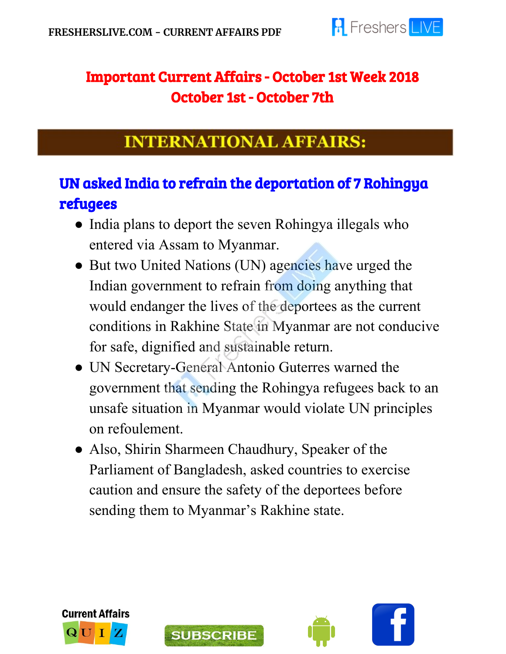

### Important Current Affairs - October 1st Week 2018 October 1st - October 7th

### **INTERNATIONAL AFFAIRS:**

# UN asked India to refrain the deportation of 7 Rohingya refugees

- India plans to deport the seven Rohingya illegals who entered via Assam to Myanmar.
- But two United Nations (UN) agencies have urged the Indian government to refrain from doing anything that would endanger the lives of the deportees as the current conditions in Rakhine State in Myanmar are not conducive for safe, dignified and sustainable return.
- UN Secretary-General Antonio Guterres warned the government that sending the Rohingya refugees back to an unsafe situation in Myanmar would violate UN principles on refoulement.
- Also, Shirin Sharmeen Chaudhury, Speaker of the Parliament of Bangladesh, asked countries to exercise caution and ensure the safety of the deportees before sending them to Myanmar's Rakhine state.





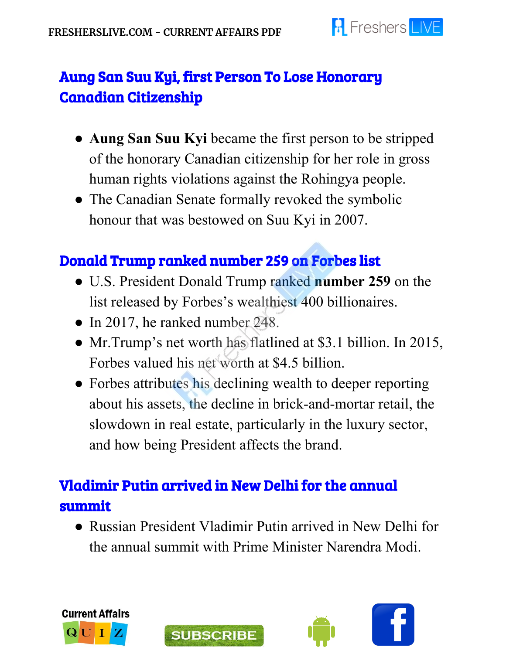

### Aung San Suu Kyi, first Person To Lose Honorary Canadian Citizenship

- **Aung San Suu Kyi** became the first person to be stripped of the honorary Canadian citizenship for her role in gross human rights violations against the Rohingya people.
- The Canadian Senate formally revoked the symbolic honour that was bestowed on Suu Kyi in 2007.

### Donald Trump ranked number 259 on Forbes list

- U.S. President Donald Trump ranked **number 259** on the list released by Forbes's wealthiest 400 billionaires.
- In 2017, he ranked number 248.
- Mr.Trump's net worth has flatlined at \$3.1 billion. In 2015, Forbes valued his net worth at \$4.5 billion.
- Forbes attributes his declining wealth to deeper reporting about his assets, the decline in brick-and-mortar retail, the slowdown in real estate, particularly in the luxury sector, and how being President affects the brand.

### Vladimir Putin arrived in New Delhi for the annual summit

● Russian President Vladimir Putin arrived in New Delhi for the annual summit with Prime Minister Narendra Modi.





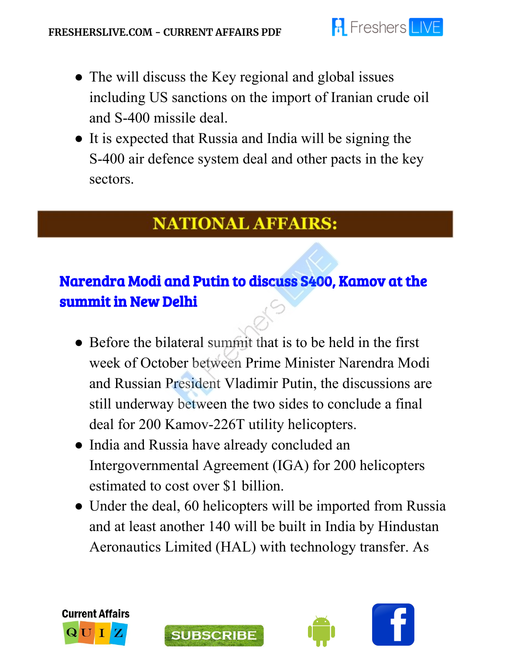

- The will discuss the Key regional and global issues including US sanctions on the import of Iranian crude oil and S-400 missile deal.
- It is expected that Russia and India will be signing the S-400 air defence system deal and other pacts in the key sectors.

### **NATIONAL AFFAIRS:**

# Narendra Modi and Putin to discuss S400, Kamov at the summit in New Delhi

- Before the bilateral summit that is to be held in the first week of October between Prime Minister Narendra Modi and Russian President Vladimir Putin, the discussions are still underway between the two sides to conclude a final deal for 200 Kamov-226T utility helicopters.
- India and Russia have already concluded an Intergovernmental Agreement (IGA) for 200 helicopters estimated to cost over \$1 billion.
- Under the deal, 60 helicopters will be imported from Russia and at least another 140 will be built in India by Hindustan Aeronautics Limited (HAL) with technology transfer. As





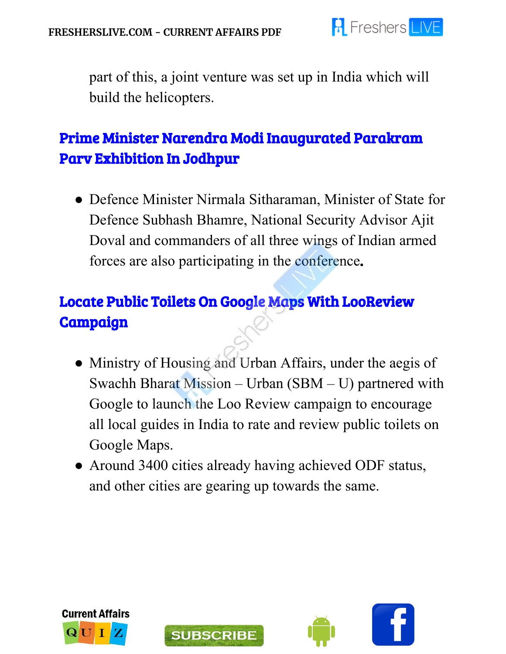

part of this, a joint venture was set up in India which will build the helicopters.

### Prime Minister Narendra Modi Inaugurated Parakram Parv Exhibition In Jodhpur

• Defence Minister Nirmala Sitharaman, Minister of State for Defence Subhash Bhamre, National Security Advisor Ajit Doval and commanders of all three wings of Indian armed forces are also participating in the conference.

# Locate Public Toilets On Google Maps With LooReview Campaign

- Ministry of Housing and Urban Affairs, under the aegis of Swachh Bharat Mission – Urban (SBM – U) partnered with Google to launch the Loo Review campaign to encourage all local guides in India to rate and review public toilets on Google Maps.
- Around 3400 cities already having achieved ODF status, and other cities are gearing up towards the same.







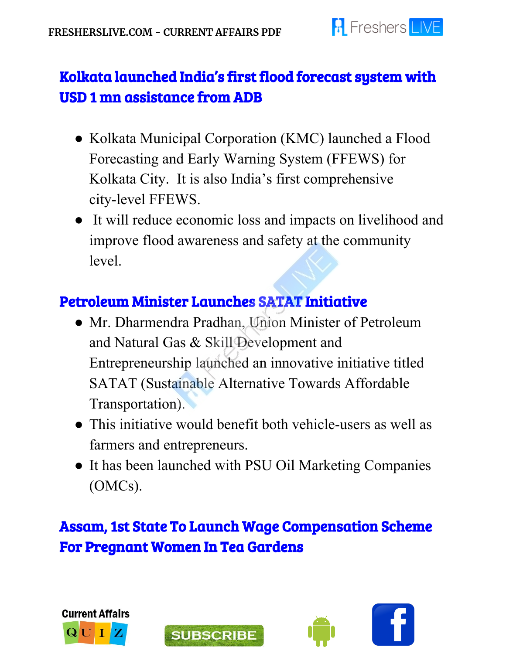

### Kolkata launched India's first flood forecast system with USD 1 mn assistance from ADB

- Kolkata Municipal Corporation (KMC) launched a Flood Forecasting and Early Warning System (FFEWS) for Kolkata City. It is also India's first comprehensive city-level FFEWS.
- It will reduce economic loss and impacts on livelihood and improve flood awareness and safety at the community level.

### Petroleum Minister Launches SATAT Initiative

- Mr. Dharmendra Pradhan, Union Minister of Petroleum and Natural Gas & Skill Development and Entrepreneurship launched an innovative initiative titled SATAT (Sustainable Alternative Towards Affordable Transportation).
- This initiative would benefit both vehicle-users as well as farmers and entrepreneurs.
- It has been launched with PSU Oil Marketing Companies (OMCs).

### Assam, 1st State To Launch Wage Compensation Scheme For Pregnant Women In Tea Gardens







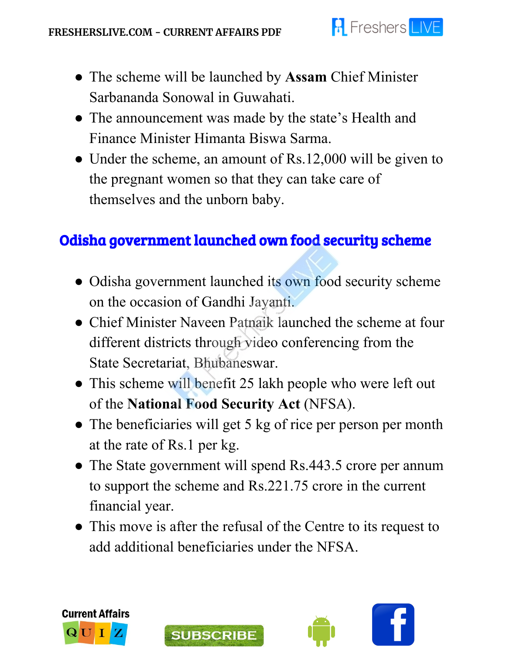

- The scheme will be launched by **Assam** Chief Minister Sarbananda Sonowal in Guwahati.
- The announcement was made by the state's Health and Finance Minister Himanta Biswa Sarma.
- Under the scheme, an amount of Rs.12,000 will be given to the pregnant women so that they can take care of themselves and the unborn baby.

### Odisha government launched own food security scheme

- Odisha government launched its own food security scheme on the occasion of Gandhi Jayanti.
- Chief Minister Naveen Patnaik launched the scheme at four different districts through video conferencing from the State Secretariat, Bhubaneswar.
- This scheme will benefit 25 lakh people who were left out of the **National Food Security Act** (NFSA).
- The beneficiaries will get 5 kg of rice per person per month at the rate of Rs.1 per kg.
- The State government will spend Rs.443.5 crore per annum to support the scheme and Rs.221.75 crore in the current financial year.
- This move is after the refusal of the Centre to its request to add additional beneficiaries under the NFSA.



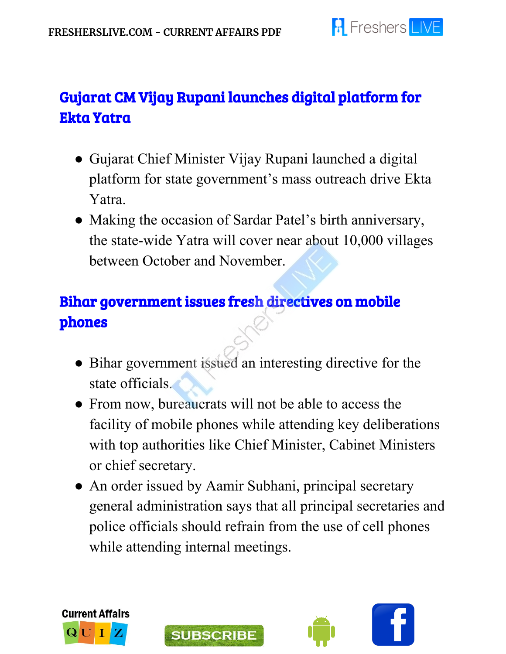

# Gujarat CM Vijay Rupani launches digital platform for Ekta Yatra

- Gujarat Chief Minister Vijay Rupani launched a digital platform for state government's mass outreach drive Ekta Yatra.
- Making the occasion of Sardar Patel's birth anniversary, the state-wide Yatra will cover near about 10,000 villages between October and November.

# Bihar government issues fresh directives on mobile phones

- Bihar government issued an interesting directive for the state officials.
- From now, bureaucrats will not be able to access the facility of mobile phones while attending key deliberations with top authorities like Chief Minister, Cabinet Ministers or chief secretary.
- An order issued by Aamir Subhani, principal secretary general administration says that all principal secretaries and police officials should refrain from the use of cell phones while attending internal meetings.





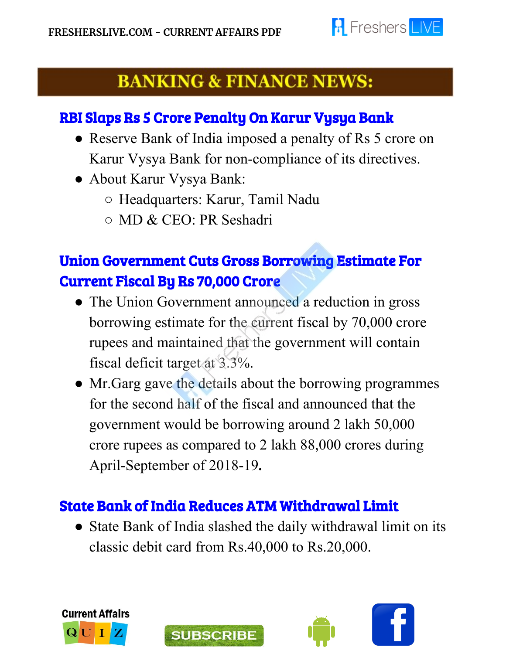

# **BANKING & FINANCE NEWS:**

#### RBI Slaps Rs 5 Crore Penalty On Karur Vysya Bank

- Reserve Bank of India imposed a penalty of Rs 5 crore on Karur Vysya Bank for non-compliance of its directives.
- About Karur Vysya Bank:

I

- Headquarters: Karur, Tamil Nadu
- MD & CEO: PR Seshadri

# Union Government Cuts Gross Borrowing Estimate For Current Fiscal By Rs 70,000 Crore

- The Union Government announced a reduction in gross borrowing estimate for the current fiscal by 70,000 crore rupees and maintained that the government will contain fiscal deficit target at 3.3%.
- Mr.Garg gave the details about the borrowing programmes for the second half of the fiscal and announced that the government would be borrowing around 2 lakh 50,000 crore rupees as compared to 2 lakh 88,000 crores during April-September of 2018-19.

### State Bank of India Reduces ATM Withdrawal Limit

**SUBSCRIBE** 

• State Bank of India slashed the daily withdrawal limit on its classic debit card from Rs.40,000 to Rs.20,000.



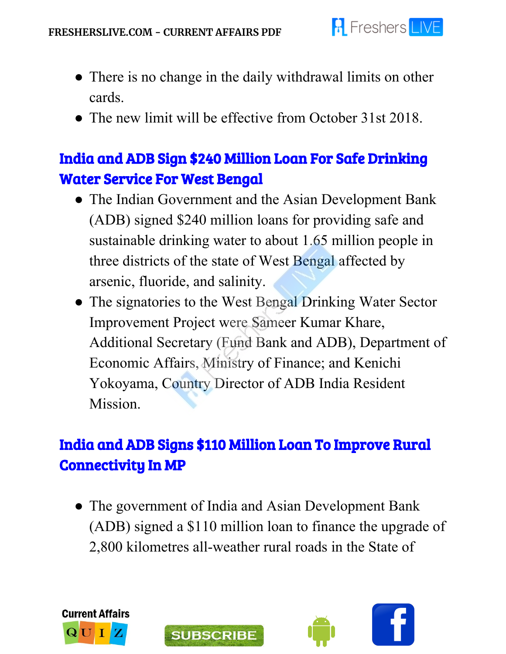

- There is no change in the daily withdrawal limits on other cards.
- The new limit will be effective from October 31st 2018.

## India and ADB Sign \$240 Million Loan For Safe Drinking Water Service For West Bengal

- The Indian Government and the Asian Development Bank (ADB) signed \$240 million loans for providing safe and sustainable drinking water to about 1.65 million people in three districts of the state of West Bengal affected by arsenic, fluoride, and salinity.
- The signatories to the West Bengal Drinking Water Sector Improvement Project were Sameer Kumar Khare, Additional Secretary (Fund Bank and ADB), Department of Economic Affairs, Ministry of Finance; and Kenichi Yokoyama, Country Director of ADB India Resident Mission.

### India and ADB Signs \$110 Million Loan To Improve Rural Connectivity In MP

• The government of India and Asian Development Bank (ADB) signed a \$110 million loan to finance the upgrade of 2,800 kilometres all-weather rural roads in the State of





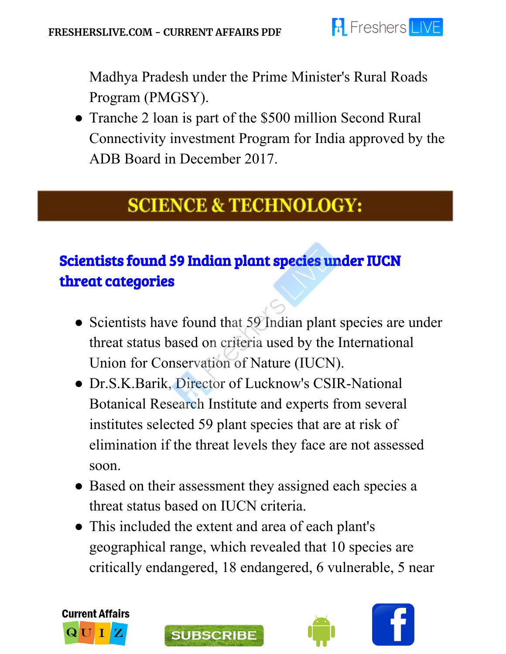

Madhya Pradesh under the Prime Minister's Rural Roads Program (PMGSY).

• Tranche 2 loan is part of the \$500 million Second Rural Connectivity investment Program for India approved by the ADB Board in December 2017.

# **SCIENCE & TECHNOLOGY:**

# Scientists found 59 Indian plant species under IUCN threat categories

- Scientists have found that 59 Indian plant species are under threat status based on criteria used by the International Union for Conservation of Nature (IUCN).
- Dr.S.K.Barik, Director of Lucknow's CSIR-National Botanical Research Institute and experts from several institutes selected 59 plant species that are at risk of elimination if the threat levels they face are not assessed soon.
- Based on their assessment they assigned each species a threat status based on IUCN criteria.
- This included the extent and area of each plant's geographical range, which revealed that 10 species are critically endangered, 18 endangered, 6 vulnerable, 5 near



j



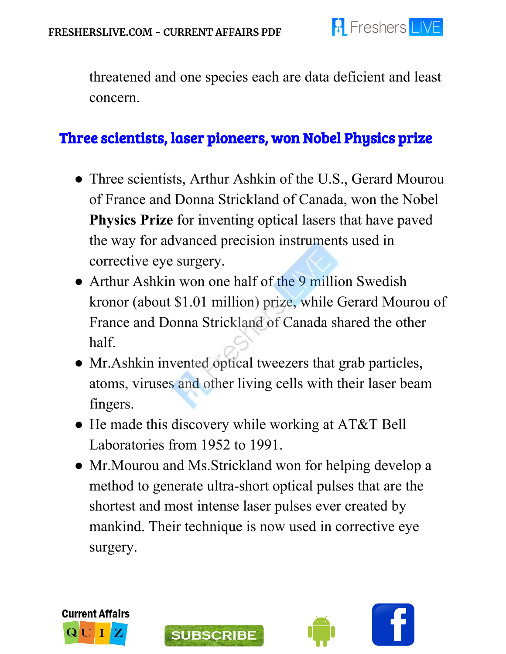

threatened and one species each are data deficient and least concern.

#### Three scientists, laser pioneers, won Nobel Physics prize

- Three scientists, Arthur Ashkin of the U.S., Gerard Mourou of France and Donna Strickland of Canada, won the Nobel **Physics Prize** for inventing optical lasers that have paved the way for advanced precision instruments used in corrective eye surgery.
- Arthur Ashkin won one half of the 9 million Swedish kronor (about \$1.01 million) prize, while Gerard Mourou of France and Donna Strickland of Canada shared the other half.
- Mr. Ashkin invented optical tweezers that grab particles, atoms, viruses and other living cells with their laser beam fingers.
- He made this discovery while working at AT&T Bell Laboratories from 1952 to 1991.
- Mr.Mourou and Ms.Strickland won for helping develop a method to generate ultra-short optical pulses that are the shortest and most intense laser pulses ever created by mankind. Their technique is now used in corrective eye surgery.





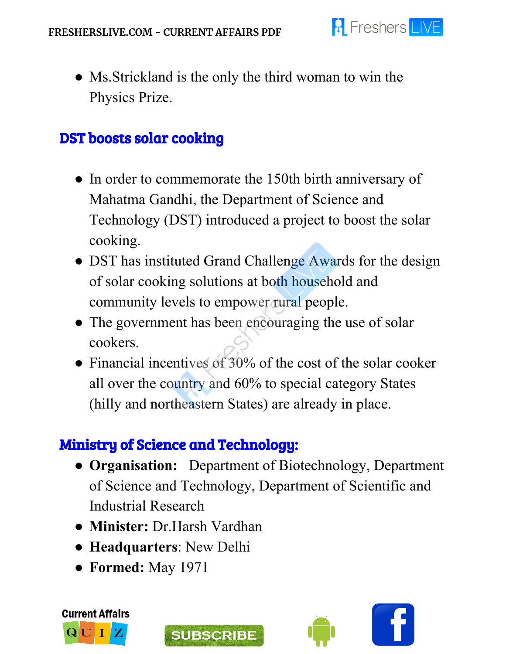

• Ms. Strickland is the only the third woman to win the Physics Prize.

#### DST boosts solar cooking

- In order to commemorate the 150th birth anniversary of Mahatma Gandhi, the Department of Science and Technology (DST) introduced a project to boost the solar cooking.
- DST has instituted Grand Challenge Awards for the design of solar cooking solutions at both household and community levels to empower rural people.
- The government has been encouraging the use of solar cookers.
- Financial incentives of 30% of the cost of the solar cooker all over the country and 60% to special category States (hilly and northeastern States) are already in place.

#### Ministry of Science and Technology:

- **Organisation:**  Department of Biotechnology, Department of Science and Technology, Department of Scientific and Industrial Research
- **Minister:** Dr.Harsh Vardhan
- **Headquarters**: New Delhi
- **Formed:** May 1971







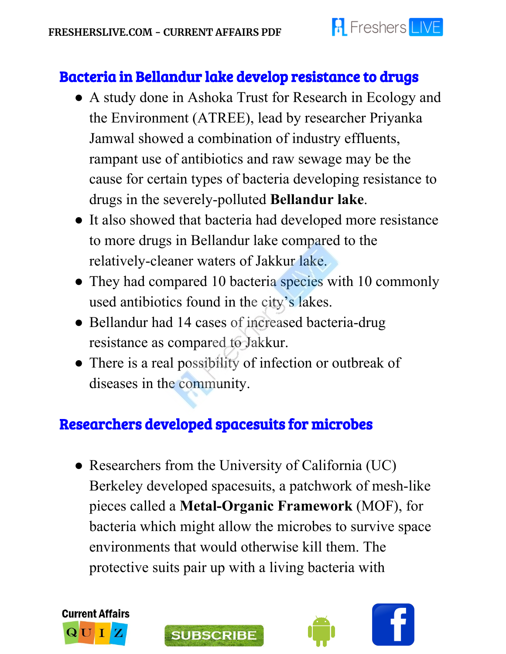

### Bacteria in Bellandur lake develop resistance to drugs

- A study done in Ashoka Trust for Research in Ecology and the Environment (ATREE), lead by researcher Priyanka Jamwal showed a combination of industry effluents, rampant use of antibiotics and raw sewage may be the cause for certain types of bacteria developing resistance to drugs in the severely-polluted **Bellandur lake**.
- It also showed that bacteria had developed more resistance to more drugs in Bellandur lake compared to the relatively-cleaner waters of Jakkur lake.
- They had compared 10 bacteria species with 10 commonly used antibiotics found in the city's lakes.
- Bellandur had 14 cases of increased bacteria-drug resistance as compared to Jakkur.
- There is a real possibility of infection or outbreak of diseases in the community.

### Researchers developed spacesuits for microbes

• Researchers from the University of California (UC) Berkeley developed spacesuits, a patchwork of mesh-like pieces called a **Metal-Organic Framework** (MOF), for bacteria which might allow the microbes to survive space environments that would otherwise kill them. The protective suits pair up with a living bacteria with





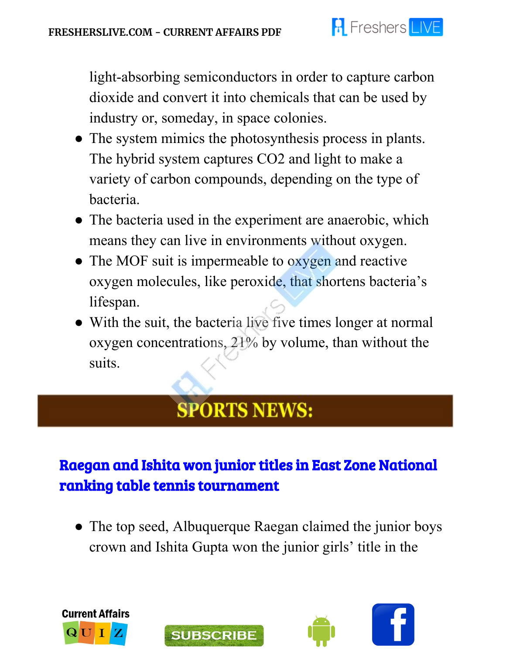

light-absorbing semiconductors in order to capture carbon dioxide and convert it into chemicals that can be used by industry or, someday, in space colonies.

- The system mimics the photosynthesis process in plants. The hybrid system captures CO2 and light to make a variety of carbon compounds, depending on the type of bacteria.
- The bacteria used in the experiment are anaerobic, which means they can live in environments without oxygen.
- The MOF suit is impermeable to oxygen and reactive oxygen molecules, like peroxide, that shortens bacteria's lifespan.
- With the suit, the bacteria live five times longer at normal oxygen concentrations, 21% by volume, than without the suits.

# **SPORTS NEWS:**

# Raegan and Ishita won junior titles in East Zone National ranking table tennis tournament

• The top seed, Albuquerque Raegan claimed the junior boys crown and Ishita Gupta won the junior girls' title in the





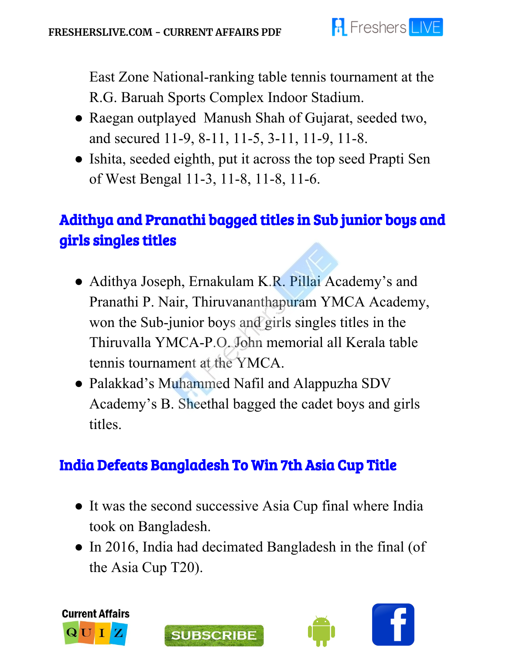

East Zone National-ranking table tennis tournament at the R.G. Baruah Sports Complex Indoor Stadium.

- Raegan outplayed Manush Shah of Gujarat, seeded two, and secured 11-9, 8-11, 11-5, 3-11, 11-9, 11-8.
- Ishita, seeded eighth, put it across the top seed Prapti Sen of West Bengal 11-3, 11-8, 11-8, 11-6.

# Adithya and Pranathi bagged titles in Sub junior boys and girls singles titles

- Adithya Joseph, Ernakulam K.R. Pillai Academy's and Pranathi P. Nair, Thiruvananthapuram YMCA Academy, won the Sub-junior boys and girls singles titles in the Thiruvalla YMCA-P.O. John memorial all Kerala table tennis tournament at the YMCA.
- Palakkad's Muhammed Nafil and Alappuzha SDV Academy's B. Sheethal bagged the cadet boys and girls titles.

### India Defeats Bangladesh To Win 7th Asia Cup Title

**SUBSCRIBE** 

- It was the second successive Asia Cup final where India took on Bangladesh.
- In 2016, India had decimated Bangladesh in the final (of the Asia Cup T20).



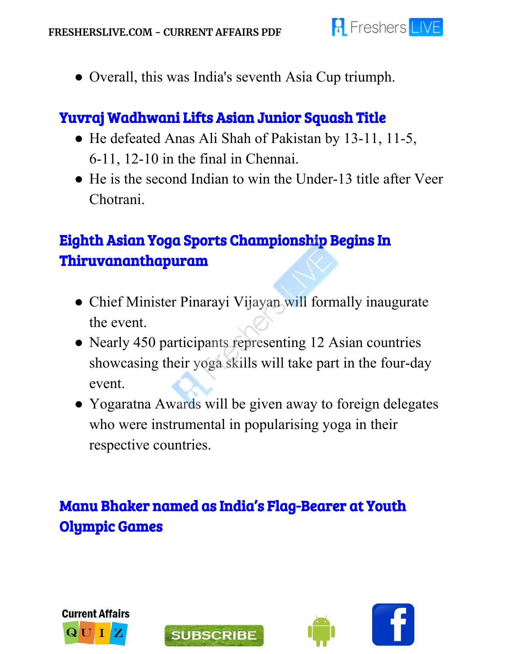

● Overall, this was India's seventh Asia Cup triumph.

#### Yuvraj Wadhwani Lifts Asian Junior Squash Title

- He defeated Anas Ali Shah of Pakistan by 13-11, 11-5, 6-11, 12-10 in the final in Chennai.
- He is the second Indian to win the Under-13 title after Veer Chotrani.

# Eighth Asian Yoga Sports Championship Begins In Thiruvananthapuram

- Chief Minister Pinarayi Vijayan will formally inaugurate the event.
- Nearly 450 participants representing 12 Asian countries showcasing their yoga skills will take part in the four-day event.
- Yogaratna Awards will be given away to foreign delegates who were instrumental in popularising yoga in their respective countries.

# Manu Bhaker named as India's Flag-Bearer at Youth Olympic Games







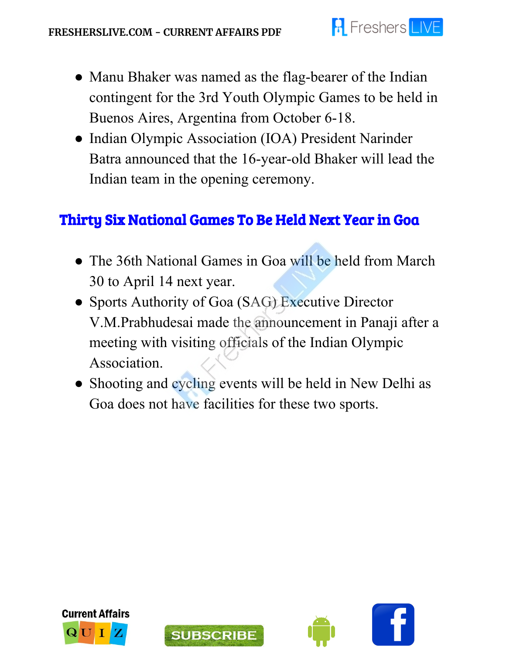

- Manu Bhaker was named as the flag-bearer of the Indian contingent for the 3rd Youth Olympic Games to be held in Buenos Aires, Argentina from October 6-18.
- Indian Olympic Association (IOA) President Narinder Batra announced that the 16-year-old Bhaker will lead the Indian team in the opening ceremony.

#### Thirty Six National Games To Be Held Next Year in Goa

- The 36th National Games in Goa will be held from March 30 to April 14 next year.
- Sports Authority of Goa (SAG) Executive Director V.M.Prabhudesai made the announcement in Panaji after a meeting with visiting officials of the Indian Olympic Association.
- Shooting and cycling events will be held in New Delhi as Goa does not have facilities for these two sports.





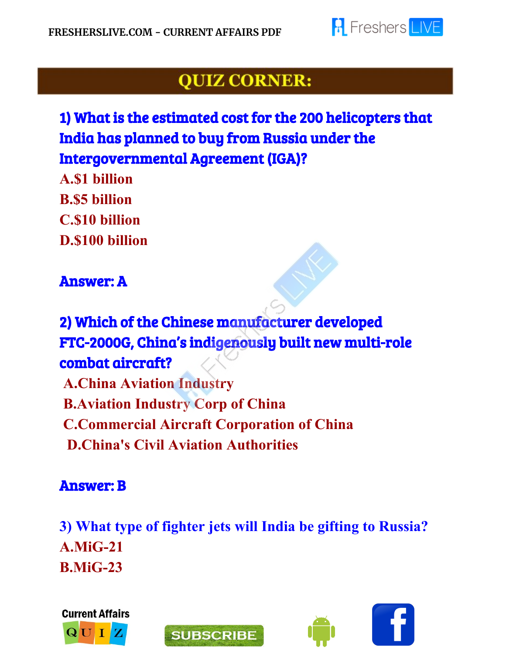

# **QUIZ CORNER:**

# 1) What is the estimated cost for the 200 helicopters that India has planned to buy from Russia under the Intergovernmental Agreement (IGA)?

**A.\$1 billion B.\$5 billion C.\$10 billion D.\$100 billion**

#### Answer: A

# 2) Which of the Chinese manufacturer developed FTC-2000G, China's indigenously built new multi-role combat aircraft?

**A.China Aviation Industry B.Aviation Industry Corp of China C.Commercial Aircraft Corporation of China D.China's Civil Aviation Authorities**

#### Answer: B

**3) What type of fighter jets will India be gifting to Russia? A.MiG-21 B.MiG-23**







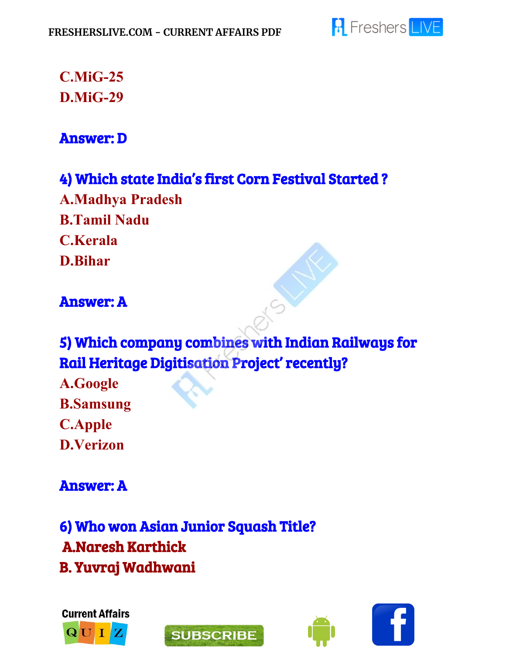

### **C.MiG-25 D.MiG-29**

#### Answer: D

#### 4) Which state India's first Corn Festival Started ?

**A.Madhya Pradesh B.Tamil Nadu C.Kerala D.Bihar**

#### Answer: A

# 5) Which company combines with Indian Railways for Rail Heritage Digitisation Project' recently?

**A.Google B.Samsung C.Apple D.Verizon**

#### Answer: A

6) Who won Asian Junior Squash Title? A.Naresh Karthick B. Yuvraj Wadhwani







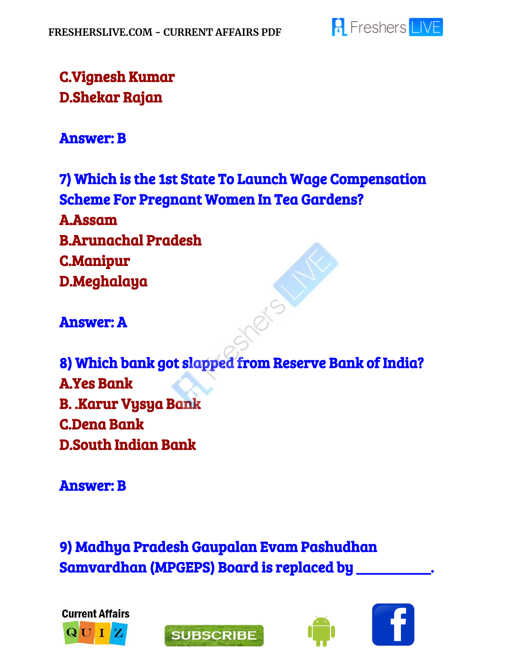

### C.Vignesh Kumar D.Shekar Rajan

#### Answer: B

7) Which is the 1st State To Launch Wage Compensation Scheme For Pregnant Women In Tea Gardens? A.Assam B.Arunachal Pradesh C.Manipur D.Meghalaya

ers

Answer: A

8) Which bank got slapped from Reserve Bank of India? A.Yes Bank B. .Karur Vysya Bank C.Dena Bank D.South Indian Bank

Answer: B

9) Madhya Pradesh Gaupalan Evam Pashudhan Samvardhan (MPGEPS) Board is replaced by \_\_\_\_\_\_\_\_\_\_.





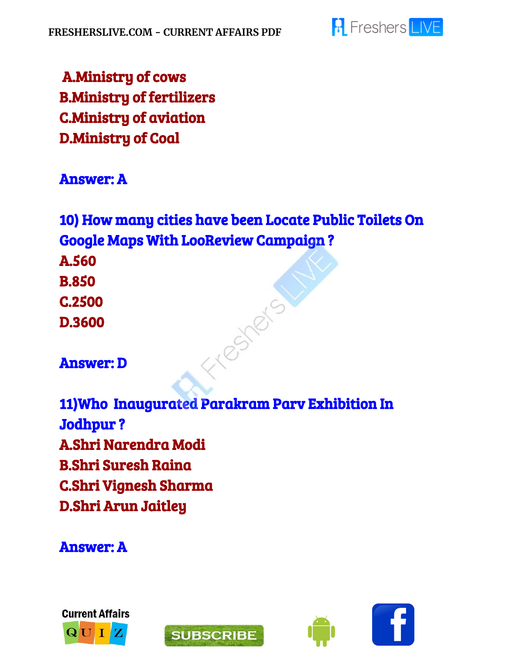

 A.Ministry of cows B.Ministry of fertilizers C.Ministry of aviation D.Ministry of Coal

#### Answer: A

10) How many cities have been Locate Public Toilets On Google Maps With LooReview Campaign ? A.560 B.850 Freshers C.2500 D.3600

Answer: D

11)Who Inaugurated Parakram Parv Exhibition In Jodhpur ? A.Shri Narendra Modi B.Shri Suresh Raina C.Shri Vignesh Sharma D.Shri Arun Jaitley

Answer: A





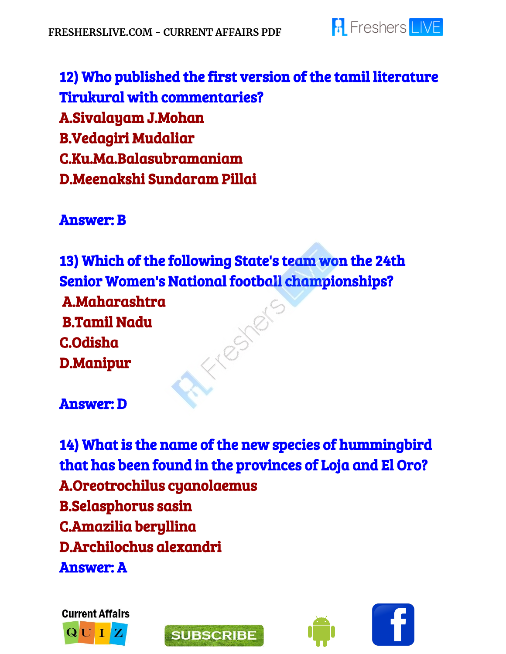

12) Who published the first version of the tamil literature Tirukural with commentaries? A.Sivalayam J.Mohan B.Vedagiri Mudaliar C.Ku.Ma.Balasubramaniam D.Meenakshi Sundaram Pillai

#### Answer: B

13) Which of the following State's team won the 24th Senior Women's National football championships? A.Maharashtra Fresher B.Tamil Nadu C.Odisha D.Manipur

#### Answer: D

14) What is the name of the new species of hummingbird that has been found in the provinces of Loja and El Oro? A.Oreotrochilus cyanolaemus B.Selasphorus sasin C.Amazilia beryllina D.Archilochus alexandri Answer: A







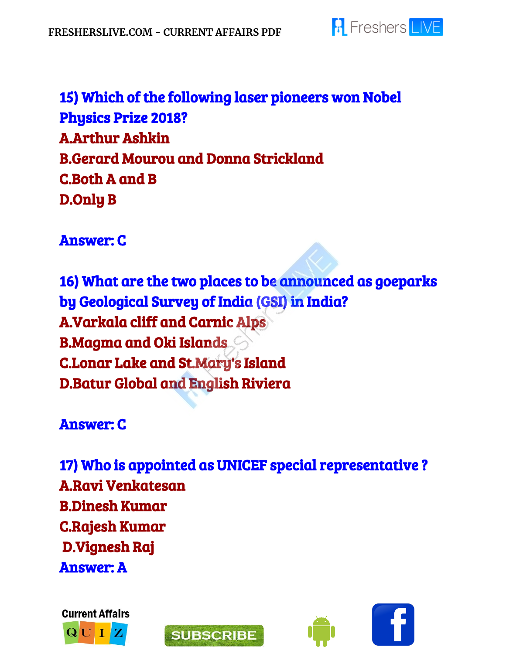

15) Which of the following laser pioneers won Nobel Physics Prize 2018? A.Arthur Ashkin B.Gerard Mourou and Donna Strickland C.Both A and B D.Only B

Answer: C

16) What are the two places to be announced as goeparks by Geological Survey of India (GSI) in India? A.Varkala cliff and Carnic Alps B.Magma and Oki Islands C.Lonar Lake and St.Mary's Island D.Batur Global and English Riviera

Answer: C

17) Who is appointed as UNICEF special representative ? A.Ravi Venkatesan B.Dinesh Kumar C.Rajesh Kumar D.Vignesh Raj Answer: A





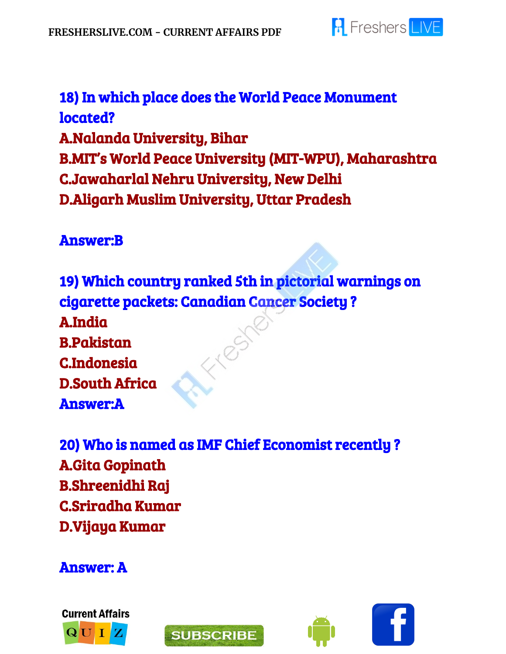

18) In which place does the World Peace Monument located? A.Nalanda University, Bihar B.MIT's World Peace University (MIT-WPU), Maharashtra C.Jawaharlal Nehru University, New Delhi D.Aligarh Muslim University, Uttar Pradesh

#### Answer:B

19) Which country ranked 5th in pictorial warnings on cigarette packets: Canadian Cancer Society ? A.India EN RS B.Pakistan C.Indonesia D.South Africa Answer:A

20) Who is named as IMF Chief Economist recently ? A.Gita Gopinath B.Shreenidhi Raj C.Sriradha Kumar D.Vijaya Kumar

Answer: A





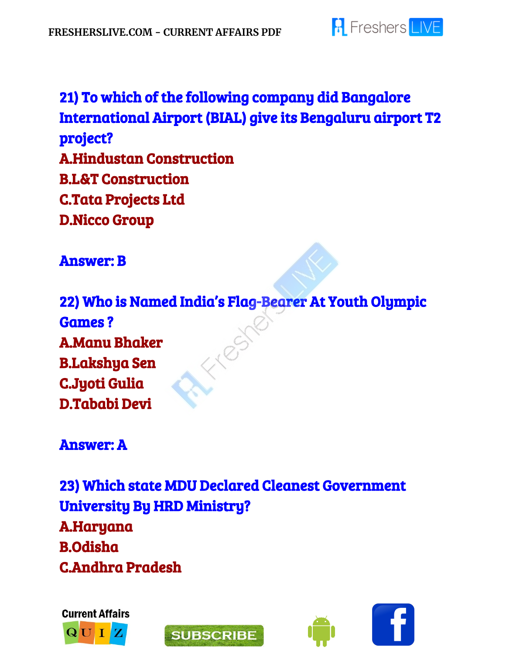

# 21) To which of the following company did Bangalore International Airport (BIAL) give its Bengaluru airport T2 project? A.Hindustan Construction B.L&T Construction C.Tata Projects Ltd D.Nicco Group

Answer: B

22) Who is Named India's Flag-Bearer At Youth Olympic Games ? A.Manu Bhaker B.Lakshya Sen C.Jyoti Gulia D.Tababi Devi

Answer: A

23) Which state MDU Declared Cleanest Government University By HRD Ministry? A.Haryana B.Odisha C.Andhra Pradesh







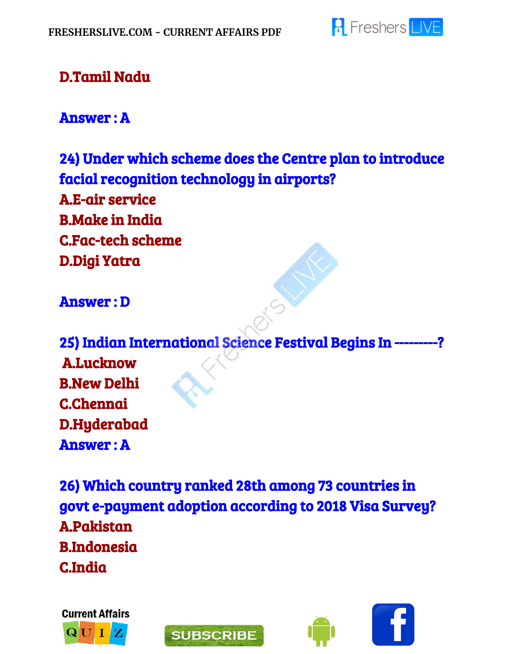

### D.Tamil Nadu

#### Answer : A

24) Under which scheme does the Centre plan to introduce facial recognition technology in airports? A.E-air service B.Make in India C.Fac-tech scheme D.Digi Yatra

#### Answer : D

25) Indian International Science Festival Begins In ---------? A.Lucknow B.New Delhi C.Chennai D.Hyderabad Answer : A

26) Which country ranked 28th among 73 countries in govt e-payment adoption according to 2018 Visa Survey? A.Pakistan B.Indonesia C.India







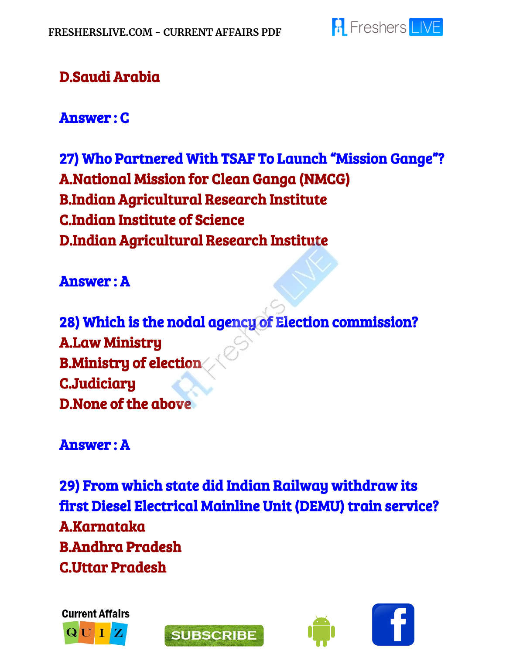

### D.Saudi Arabia

Answer : C

27) Who Partnered With TSAF To Launch "Mission Gange"? A.National Mission for Clean Ganga (NMCG) B.Indian Agricultural Research Institute C.Indian Institute of Science D.Indian Agricultural Research Institute

Answer : A

28) Which is the nodal agency of Election commission? A.Law Ministry B.Ministry of election C.Judiciary D.None of the above

Answer : A

29) From which state did Indian Railway withdraw its first Diesel Electrical Mainline Unit (DEMU) train service? A.Karnataka B.Andhra Pradesh C.Uttar Pradesh